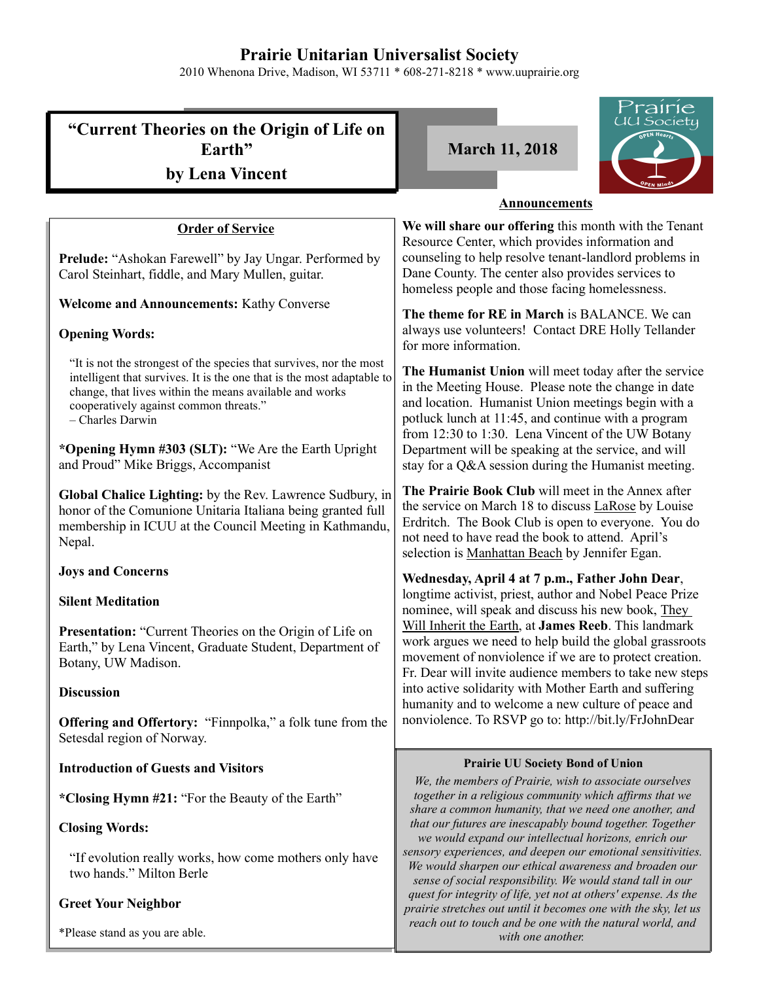## **Prairie Unitarian Universalist Society**

2010 Whenona Drive, Madison, WI 53711 \* 608-271-8218 \* www.uuprairie.org

|                                                                                                                                                                                                                                                                        | rrairie                                                                                                                                                                                                                                                                        |
|------------------------------------------------------------------------------------------------------------------------------------------------------------------------------------------------------------------------------------------------------------------------|--------------------------------------------------------------------------------------------------------------------------------------------------------------------------------------------------------------------------------------------------------------------------------|
| "Current Theories on the Origin of Life on<br>Earth"                                                                                                                                                                                                                   | UU Society<br><b>March 11, 2018</b>                                                                                                                                                                                                                                            |
| by Lena Vincent                                                                                                                                                                                                                                                        |                                                                                                                                                                                                                                                                                |
|                                                                                                                                                                                                                                                                        | <b>Announcements</b>                                                                                                                                                                                                                                                           |
| <b>Order of Service</b>                                                                                                                                                                                                                                                | We will share our offering this month with the Tenant                                                                                                                                                                                                                          |
| Prelude: "Ashokan Farewell" by Jay Ungar. Performed by<br>Carol Steinhart, fiddle, and Mary Mullen, guitar.                                                                                                                                                            | Resource Center, which provides information and<br>counseling to help resolve tenant-landlord problems in<br>Dane County. The center also provides services to<br>homeless people and those facing homelessness.                                                               |
| <b>Welcome and Announcements: Kathy Converse</b>                                                                                                                                                                                                                       | The theme for RE in March is BALANCE. We can                                                                                                                                                                                                                                   |
| <b>Opening Words:</b>                                                                                                                                                                                                                                                  | always use volunteers! Contact DRE Holly Tellander<br>for more information.                                                                                                                                                                                                    |
| "It is not the strongest of the species that survives, nor the most<br>intelligent that survives. It is the one that is the most adaptable to<br>change, that lives within the means available and works<br>cooperatively against common threats."<br>- Charles Darwin | The Humanist Union will meet today after the service<br>in the Meeting House. Please note the change in date<br>and location. Humanist Union meetings begin with a<br>potluck lunch at 11:45, and continue with a program<br>from 12:30 to 1:30. Lena Vincent of the UW Botany |
| *Opening Hymn #303 (SLT): "We Are the Earth Upright<br>and Proud" Mike Briggs, Accompanist                                                                                                                                                                             | Department will be speaking at the service, and will<br>stay for a Q&A session during the Humanist meeting.                                                                                                                                                                    |
| Global Chalice Lighting: by the Rev. Lawrence Sudbury, in<br>honor of the Comunione Unitaria Italiana being granted full<br>membership in ICUU at the Council Meeting in Kathmandu,<br>Nepal.                                                                          | The Prairie Book Club will meet in the Annex after<br>the service on March 18 to discuss LaRose by Louise<br>Erdritch. The Book Club is open to everyone. You do<br>not need to have read the book to attend. April's<br>selection is Manhattan Beach by Jennifer Egan.        |
| <b>Joys and Concerns</b>                                                                                                                                                                                                                                               | Wednesday, April 4 at 7 p.m., Father John Dear,                                                                                                                                                                                                                                |
| <b>Silent Meditation</b>                                                                                                                                                                                                                                               | longtime activist, priest, author and Nobel Peace Prize<br>nominee, will speak and discuss his new book, They                                                                                                                                                                  |
| Presentation: "Current Theories on the Origin of Life on<br>Earth," by Lena Vincent, Graduate Student, Department of<br>Botany, UW Madison.                                                                                                                            | Will Inherit the Earth, at James Reeb. This landmark<br>work argues we need to help build the global grassroots<br>movement of nonviolence if we are to protect creation.<br>Fr. Dear will invite audience members to take new steps                                           |
| <b>Discussion</b>                                                                                                                                                                                                                                                      | into active solidarity with Mother Earth and suffering<br>humanity and to welcome a new culture of peace and                                                                                                                                                                   |
| <b>Offering and Offertory:</b> "Finnpolka," a folk tune from the<br>Setesdal region of Norway.                                                                                                                                                                         | nonviolence. To RSVP go to: http://bit.ly/FrJohnDear                                                                                                                                                                                                                           |
| <b>Introduction of Guests and Visitors</b>                                                                                                                                                                                                                             | <b>Prairie UU Society Bond of Union</b>                                                                                                                                                                                                                                        |
| *Closing Hymn #21: "For the Beauty of the Earth"                                                                                                                                                                                                                       | We, the members of Prairie, wish to associate ourselves<br>together in a religious community which affirms that we<br>share a common humanity, that we need one another, and                                                                                                   |
| <b>Closing Words:</b>                                                                                                                                                                                                                                                  | that our futures are inescapably bound together. Together<br>we would expand our intellectual horizons, enrich our                                                                                                                                                             |
| "If evolution really works, how come mothers only have<br>two hands." Milton Berle                                                                                                                                                                                     | sensory experiences, and deepen our emotional sensitivities.<br>We would sharpen our ethical awareness and broaden our<br>sense of social responsibility. We would stand tall in our                                                                                           |
| <b>Greet Your Neighbor</b>                                                                                                                                                                                                                                             | quest for integrity of life, yet not at others' expense. As the<br>prairie stretches out until it becomes one with the sky, let us                                                                                                                                             |
| *Please stand as you are able.                                                                                                                                                                                                                                         | reach out to touch and be one with the natural world, and<br>with one another.                                                                                                                                                                                                 |